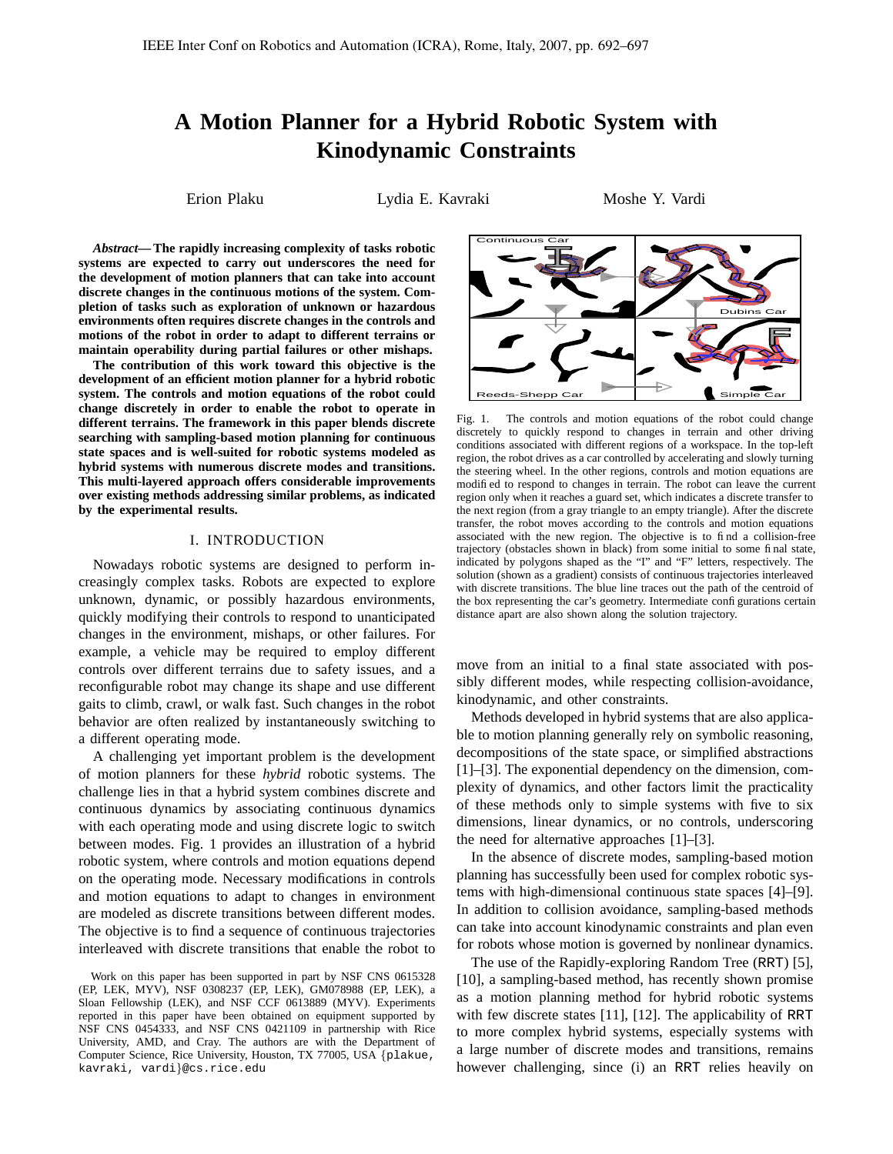# **A Motion Planner for a Hybrid Robotic System with Kinodynamic Constraints**

Erion Plaku  $Lydia E. Kavraki$  Moshe Y. Vardi

*Abstract***—The rapidly increasing complexity of tasks robotic systems are expected to carry out underscores the need for the development of motion planners that can take into account discrete changes in the continuous motions of the system. Completion of tasks such as exploration of unknown or hazardous environments often requires discrete changes in the controls and motions of the robot in order to adapt to different terrains or maintain operability during partial failures or other mishaps.**

**The contribution of this work toward this objective is the development of an efficient motion planner for a hybrid robotic system. The controls and motion equations of the robot could change discretely in order to enable the robot to operate in different terrains. The framework in this paper blends discrete searching with sampling-based motion planning for continuous state spaces and is well-suited for robotic systems modeled as hybrid systems with numerous discrete modes and transitions. This multi-layered approach offers considerable improvements over existing methods addressing similar problems, as indicated by the experimental results.**

## I. INTRODUCTION

Nowadays robotic systems are designed to perform increasingly complex tasks. Robots are expected to explore unknown, dynamic, or possibly hazardous environments, quickly modifying their controls to respond to unanticipated changes in the environment, mishaps, or other failures. For example, a vehicle may be required to employ different controls over different terrains due to safety issues, and a reconfigurable robot may change its shape and use different gaits to climb, crawl, or walk fast. Such changes in the robot behavior are often realized by instantaneously switching to a different operating mode.

A challenging yet important problem is the development of motion planners for these *hybrid* robotic systems. The challenge lies in that a hybrid system combines discrete and continuous dynamics by associating continuous dynamics with each operating mode and using discrete logic to switch between modes. Fig. 1 provides an illustration of a hybrid robotic system, where controls and motion equations depend on the operating mode. Necessary modifications in controls and motion equations to adapt to changes in environment are modeled as discrete transitions between different modes. The objective is to find a sequence of continuous trajectories interleaved with discrete transitions that enable the robot to

Work on this paper has been supported in part by NSF CNS 0615328 (EP, LEK, MYV), NSF 0308237 (EP, LEK), GM078988 (EP, LEK), a Sloan Fellowship (LEK), and NSF CCF 0613889 (MYV). Experiments reported in this paper have been obtained on equipment supported by NSF CNS 0454333, and NSF CNS 0421109 in partnership with Rice University, AMD, and Cray. The authors are with the Department of Computer Science, Rice University, Houston, TX 77005, USA {plakue, kavraki, vardi}@cs.rice.edu



Fig. 1. The controls and motion equations of the robot could change discretely to quickly respond to changes in terrain and other driving conditions associated with different regions of a workspace. In the top-left region, the robot drives as a car controlled by accelerating and slowly turning the steering wheel. In the other regions, controls and motion equations are modified to respond to changes in terrain. The robot can leave the current region only when it reaches a guard set, which indicates a discrete transfer to the next region (from a gray triangle to an empty triangle). After the discrete transfer, the robot moves according to the controls and motion equations associated with the new region. The objective is to find a collision-free trajectory (obstacles shown in black) from some initial to some final state, indicated by polygons shaped as the "I" and "F" letters, respectively. The solution (shown as a gradient) consists of continuous trajectories interleaved with discrete transitions. The blue line traces out the path of the centroid of the box representing the car's geometry. Intermediate configurations certain distance apart are also shown along the solution trajectory.

move from an initial to a final state associated with possibly different modes, while respecting collision-avoidance, kinodynamic, and other constraints.

Methods developed in hybrid systems that are also applicable to motion planning generally rely on symbolic reasoning, decompositions of the state space, or simplified abstractions [1]–[3]. The exponential dependency on the dimension, complexity of dynamics, and other factors limit the practicality of these methods only to simple systems with five to six dimensions, linear dynamics, or no controls, underscoring the need for alternative approaches [1]–[3].

In the absence of discrete modes, sampling-based motion planning has successfully been used for complex robotic systems with high-dimensional continuous state spaces [4]–[9]. In addition to collision avoidance, sampling-based methods can take into account kinodynamic constraints and plan even for robots whose motion is governed by nonlinear dynamics.

The use of the Rapidly-exploring Random Tree (RRT) [5], [10], a sampling-based method, has recently shown promise as a motion planning method for hybrid robotic systems with few discrete states [11], [12]. The applicability of RRT to more complex hybrid systems, especially systems with a large number of discrete modes and transitions, remains however challenging, since (i) an RRT relies heavily on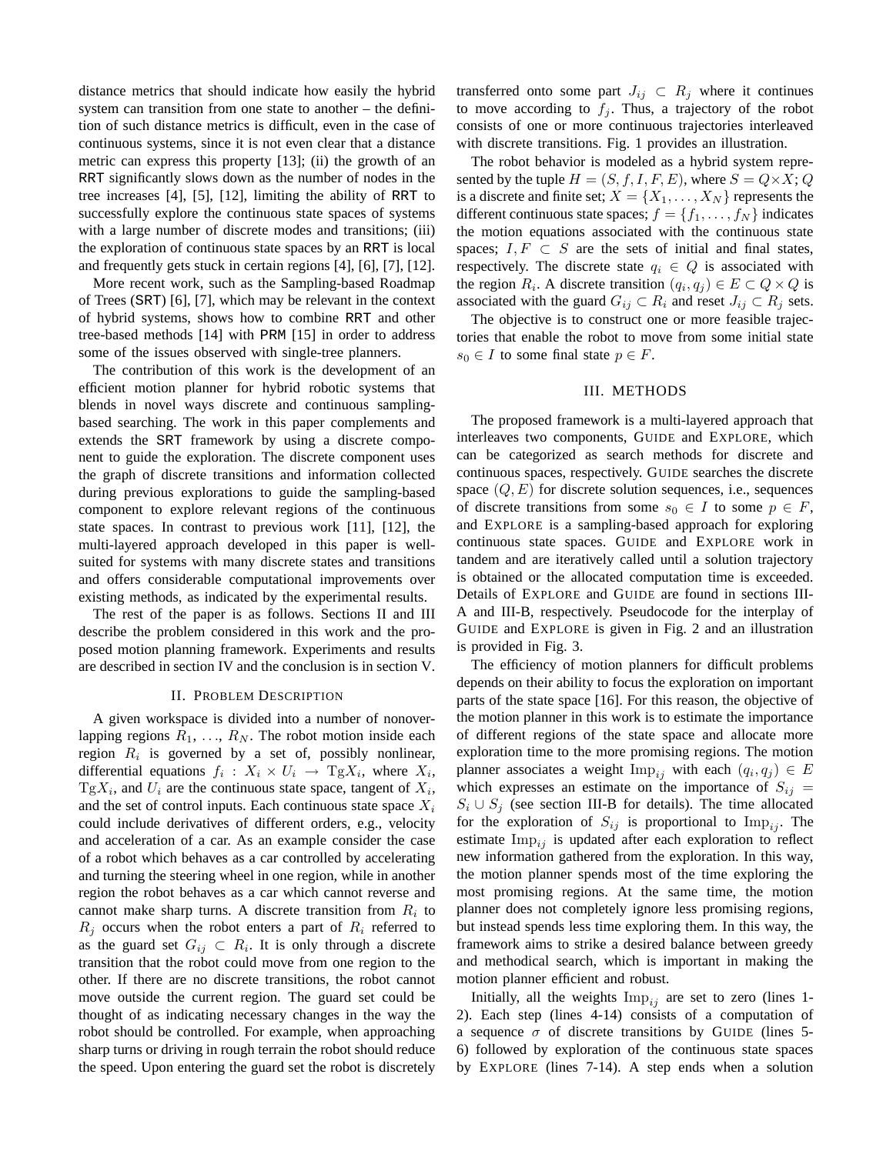distance metrics that should indicate how easily the hybrid system can transition from one state to another – the definition of such distance metrics is difficult, even in the case of continuous systems, since it is not even clear that a distance metric can express this property [13]; (ii) the growth of an RRT significantly slows down as the number of nodes in the tree increases [4], [5], [12], limiting the ability of RRT to successfully explore the continuous state spaces of systems with a large number of discrete modes and transitions; (iii) the exploration of continuous state spaces by an RRT is local and frequently gets stuck in certain regions [4], [6], [7], [12].

More recent work, such as the Sampling-based Roadmap of Trees (SRT) [6], [7], which may be relevant in the context of hybrid systems, shows how to combine RRT and other tree-based methods [14] with PRM [15] in order to address some of the issues observed with single-tree planners.

The contribution of this work is the development of an efficient motion planner for hybrid robotic systems that blends in novel ways discrete and continuous samplingbased searching. The work in this paper complements and extends the SRT framework by using a discrete component to guide the exploration. The discrete component uses the graph of discrete transitions and information collected during previous explorations to guide the sampling-based component to explore relevant regions of the continuous state spaces. In contrast to previous work [11], [12], the multi-layered approach developed in this paper is wellsuited for systems with many discrete states and transitions and offers considerable computational improvements over existing methods, as indicated by the experimental results.

The rest of the paper is as follows. Sections II and III describe the problem considered in this work and the proposed motion planning framework. Experiments and results are described in section IV and the conclusion is in section V.

### II. PROBLEM DESCRIPTION

A given workspace is divided into a number of nonoverlapping regions  $R_1, \ldots, R_N$ . The robot motion inside each region  $R_i$  is governed by a set of, possibly nonlinear, differential equations  $f_i: X_i \times U_i \rightarrow \text{Tg}X_i$ , where  $X_i$ ,  $TgX_i$ , and  $U_i$  are the continuous state space, tangent of  $X_i$ , and the set of control inputs. Each continuous state space  $X_i$ could include derivatives of different orders, e.g., velocity and acceleration of a car. As an example consider the case of a robot which behaves as a car controlled by accelerating and turning the steering wheel in one region, while in another region the robot behaves as a car which cannot reverse and cannot make sharp turns. A discrete transition from  $R_i$  to  $R_i$  occurs when the robot enters a part of  $R_i$  referred to as the guard set  $G_{ij} \subset R_i$ . It is only through a discrete transition that the robot could move from one region to the other. If there are no discrete transitions, the robot cannot move outside the current region. The guard set could be thought of as indicating necessary changes in the way the robot should be controlled. For example, when approaching sharp turns or driving in rough terrain the robot should reduce the speed. Upon entering the guard set the robot is discretely transferred onto some part  $J_{ij} \subset R_j$  where it continues to move according to  $f_j$ . Thus, a trajectory of the robot consists of one or more continuous trajectories interleaved with discrete transitions. Fig. 1 provides an illustration.

The robot behavior is modeled as a hybrid system represented by the tuple  $H = (S, f, I, F, E)$ , where  $S = Q \times X$ ; Q is a discrete and finite set;  $X = \{X_1, \ldots, X_N\}$  represents the different continuous state spaces;  $f = \{f_1, \ldots, f_N\}$  indicates the motion equations associated with the continuous state spaces;  $I, F \subset S$  are the sets of initial and final states, respectively. The discrete state  $q_i \in Q$  is associated with the region  $R_i$ . A discrete transition  $(q_i, q_j) \in E \subset Q \times Q$  is associated with the guard  $G_{ij} \subset R_i$  and reset  $J_{ij} \subset R_j$  sets.

The objective is to construct one or more feasible trajectories that enable the robot to move from some initial state  $s_0 \in I$  to some final state  $p \in F$ .

## III. METHODS

The proposed framework is a multi-layered approach that interleaves two components, GUIDE and EXPLORE, which can be categorized as search methods for discrete and continuous spaces, respectively. GUIDE searches the discrete space  $(Q, E)$  for discrete solution sequences, i.e., sequences of discrete transitions from some  $s_0 \in I$  to some  $p \in F$ , and EXPLORE is a sampling-based approach for exploring continuous state spaces. GUIDE and EXPLORE work in tandem and are iteratively called until a solution trajectory is obtained or the allocated computation time is exceeded. Details of EXPLORE and GUIDE are found in sections III-A and III-B, respectively. Pseudocode for the interplay of GUIDE and EXPLORE is given in Fig. 2 and an illustration is provided in Fig. 3.

The efficiency of motion planners for difficult problems depends on their ability to focus the exploration on important parts of the state space [16]. For this reason, the objective of the motion planner in this work is to estimate the importance of different regions of the state space and allocate more exploration time to the more promising regions. The motion planner associates a weight  $\text{Imp}_{ij}$  with each  $(q_i, q_j) \in E$ which expresses an estimate on the importance of  $S_{ij}$  =  $S_i \cup S_j$  (see section III-B for details). The time allocated for the exploration of  $S_{ij}$  is proportional to  $\text{Imp}_{ij}$ . The estimate  $\text{Imp}_{ij}$  is updated after each exploration to reflect new information gathered from the exploration. In this way, the motion planner spends most of the time exploring the most promising regions. At the same time, the motion planner does not completely ignore less promising regions, but instead spends less time exploring them. In this way, the framework aims to strike a desired balance between greedy and methodical search, which is important in making the motion planner efficient and robust.

Initially, all the weights  $\text{Imp}_{ij}$  are set to zero (lines 1-2). Each step (lines 4-14) consists of a computation of a sequence  $\sigma$  of discrete transitions by GUIDE (lines 5-6) followed by exploration of the continuous state spaces by EXPLORE (lines 7-14). A step ends when a solution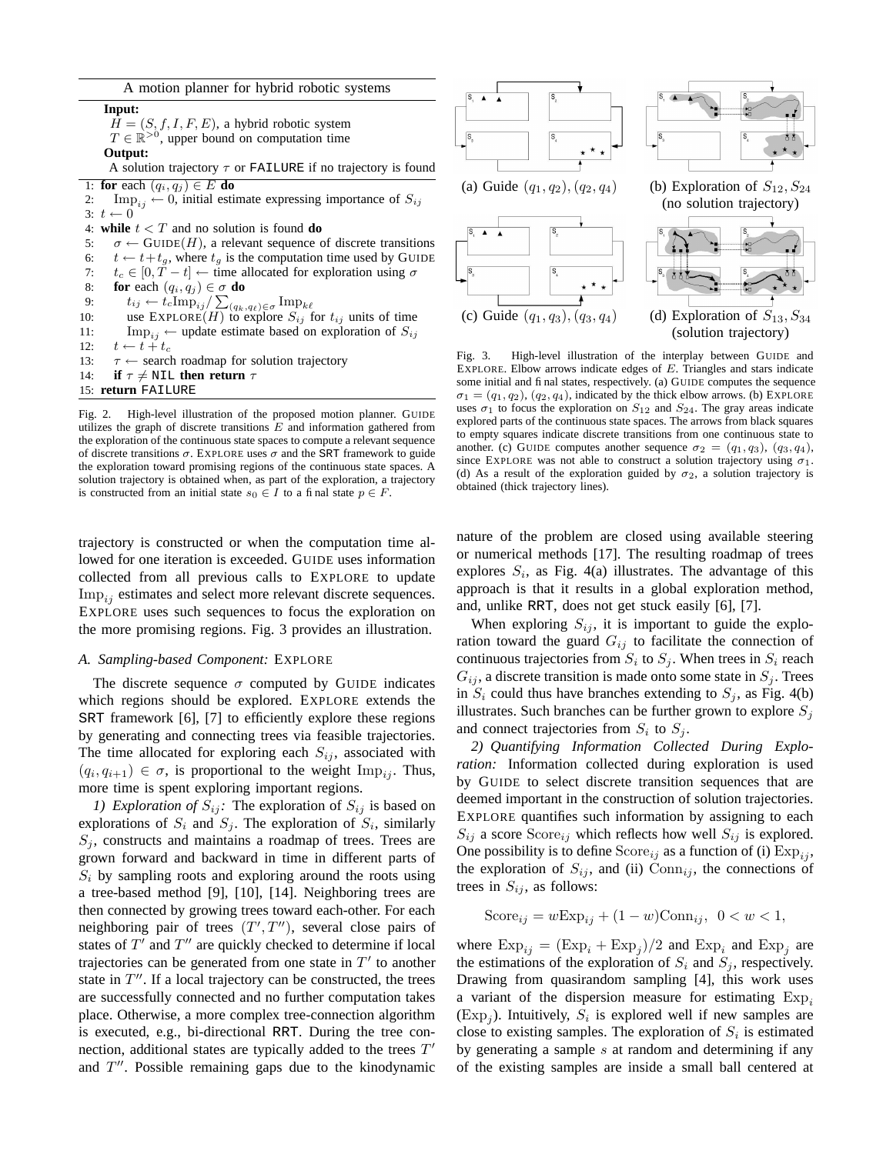| A motion planner for hybrid robotic systems |  |  |  |  |  |
|---------------------------------------------|--|--|--|--|--|
|---------------------------------------------|--|--|--|--|--|

**Input:**  $H = (S, f, I, F, E)$ , a hybrid robotic system  $T \in \mathbb{R}^{>0}$ , upper bound on computation time **Output:** A solution trajectory  $\tau$  or FAILURE if no trajectory is found 1: **for** each  $(q_i, q_j) \in E$  **do** 2: Imp<sub>ij</sub>  $\leftarrow$  0, initial estimate expressing importance of  $S_{ij}$ 3:  $t \leftarrow 0$ 4: **while**  $t < T$  and no solution is found **do** 5:  $\sigma \leftarrow \text{GUIDE}(H)$ , a relevant sequence of discrete transitions 6:  $t \leftarrow t+t_g$ , where  $t_g$  is the computation time used by GUIDE 7:  $t_c \in [0, T - t] \leftarrow$  time allocated for exploration using  $\sigma$ 8: **for** each  $(q_i, q_j) \in \sigma$  **do** 9:  $t_{ij} \leftarrow t_c \text{Imp}_{ij} / \sum_{(q_k, q_\ell) \in \sigma} \text{Imp}_{k\ell}$ 10: use  $\text{EXPLORE}(H)$  to explore  $S_{ij}$  for  $t_{ij}$  units of time 11:  $\text{Imp}_{ij} \leftarrow \text{update estimate based on exploration of } S_{ij}$ <br>12:  $t \leftarrow t + t_c$  $t \leftarrow t + t_c$ 13:  $\tau \leftarrow$  search roadmap for solution trajectory 14: **if**  $\tau \neq \text{NIL}$  **then return**  $\tau$ 15: **return** FAILURE

Fig. 2. High-level illustration of the proposed motion planner. GUIDE utilizes the graph of discrete transitions  $E$  and information gathered from the exploration of the continuous state spaces to compute a relevant sequence of discrete transitions  $\sigma$ . EXPLORE uses  $\sigma$  and the SRT framework to guide the exploration toward promising regions of the continuous state spaces. A solution trajectory is obtained when, as part of the exploration, a trajectory is constructed from an initial state  $s_0 \in I$  to a final state  $p \in F$ .

trajectory is constructed or when the computation time allowed for one iteration is exceeded. GUIDE uses information collected from all previous calls to EXPLORE to update  $\text{Imp}_{ij}$  estimates and select more relevant discrete sequences. EXPLORE uses such sequences to focus the exploration on the more promising regions. Fig. 3 provides an illustration.

#### *A. Sampling-based Component:* EXPLORE

The discrete sequence  $\sigma$  computed by GUIDE indicates which regions should be explored. EXPLORE extends the SRT framework [6], [7] to efficiently explore these regions by generating and connecting trees via feasible trajectories. The time allocated for exploring each  $S_{ij}$ , associated with  $(q_i, q_{i+1}) \in \sigma$ , is proportional to the weight  $\text{Imp}_{ij}$ . Thus, more time is spent exploring important regions.

*1) Exploration of*  $S_{ij}$ : The exploration of  $S_{ij}$  is based on explorations of  $S_i$  and  $S_j$ . The exploration of  $S_i$ , similarly  $S_i$ , constructs and maintains a roadmap of trees. Trees are grown forward and backward in time in different parts of  $S_i$  by sampling roots and exploring around the roots using a tree-based method [9], [10], [14]. Neighboring trees are then connected by growing trees toward each-other. For each neighboring pair of trees  $(T', T'')$ , several close pairs of states of  $T'$  and  $T''$  are quickly checked to determine if local trajectories can be generated from one state in  $T'$  to another state in  $T''$ . If a local trajectory can be constructed, the trees are successfully connected and no further computation takes place. Otherwise, a more complex tree-connection algorithm is executed, e.g., bi-directional RRT. During the tree connection, additional states are typically added to the trees  $T'$ and  $T''$ . Possible remaining gaps due to the kinodynamic



Fig. 3. High-level illustration of the interplay between GUIDE and EXPLORE. Elbow arrows indicate edges of E. Triangles and stars indicate some initial and final states, respectively. (a) GUIDE computes the sequence  $\sigma_1 = (q_1, q_2), (q_2, q_4)$ , indicated by the thick elbow arrows. (b) EXPLORE uses  $\sigma_1$  to focus the exploration on  $S_{12}$  and  $S_{24}$ . The gray areas indicate explored parts of the continuous state spaces. The arrows from black squares to empty squares indicate discrete transitions from one continuous state to another. (c) GUIDE computes another sequence  $\sigma_2 = (q_1, q_3), (q_3, q_4)$ , since EXPLORE was not able to construct a solution trajectory using  $\sigma_1$ . (d) As a result of the exploration guided by  $\sigma_2$ , a solution trajectory is obtained (thick trajectory lines).

(solution trajectory)

nature of the problem are closed using available steering or numerical methods [17]. The resulting roadmap of trees explores  $S_i$ , as Fig. 4(a) illustrates. The advantage of this approach is that it results in a global exploration method, and, unlike RRT, does not get stuck easily [6], [7].

When exploring  $S_{ij}$ , it is important to guide the exploration toward the guard  $G_{ij}$  to facilitate the connection of continuous trajectories from  $S_i$  to  $S_j$ . When trees in  $S_i$  reach  $G_{ij}$ , a discrete transition is made onto some state in  $S_j$ . Trees in  $S_i$  could thus have branches extending to  $S_i$ , as Fig. 4(b) illustrates. Such branches can be further grown to explore  $S_i$ and connect trajectories from  $S_i$  to  $S_j$ .

*2) Quantifying Information Collected During Exploration:* Information collected during exploration is used by GUIDE to select discrete transition sequences that are deemed important in the construction of solution trajectories. EXPLORE quantifies such information by assigning to each  $S_{ij}$  a score  $Score_{ij}$  which reflects how well  $S_{ij}$  is explored. One possibility is to define  $Score_{ij}$  as a function of (i)  $Exp_{ij}$ , the exploration of  $S_{ij}$ , and (ii)  $Conn_{ij}$ , the connections of trees in  $S_{ij}$ , as follows:

$$
Score_{ij} = wExp_{ij} + (1 - w)Conn_{ij}, \ \ 0 < w < 1,
$$

where  $\text{Exp}_{ij} = (\text{Exp}_i + \text{Exp}_j)/2$  and  $\text{Exp}_i$  and  $\text{Exp}_j$  are the estimations of the exploration of  $S_i$  and  $S_j$ , respectively. Drawing from quasirandom sampling [4], this work uses a variant of the dispersion measure for estimating  $Exp_i$  $(\text{Exp}_j)$ . Intuitively,  $S_i$  is explored well if new samples are close to existing samples. The exploration of  $S_i$  is estimated by generating a sample  $s$  at random and determining if any of the existing samples are inside a small ball centered at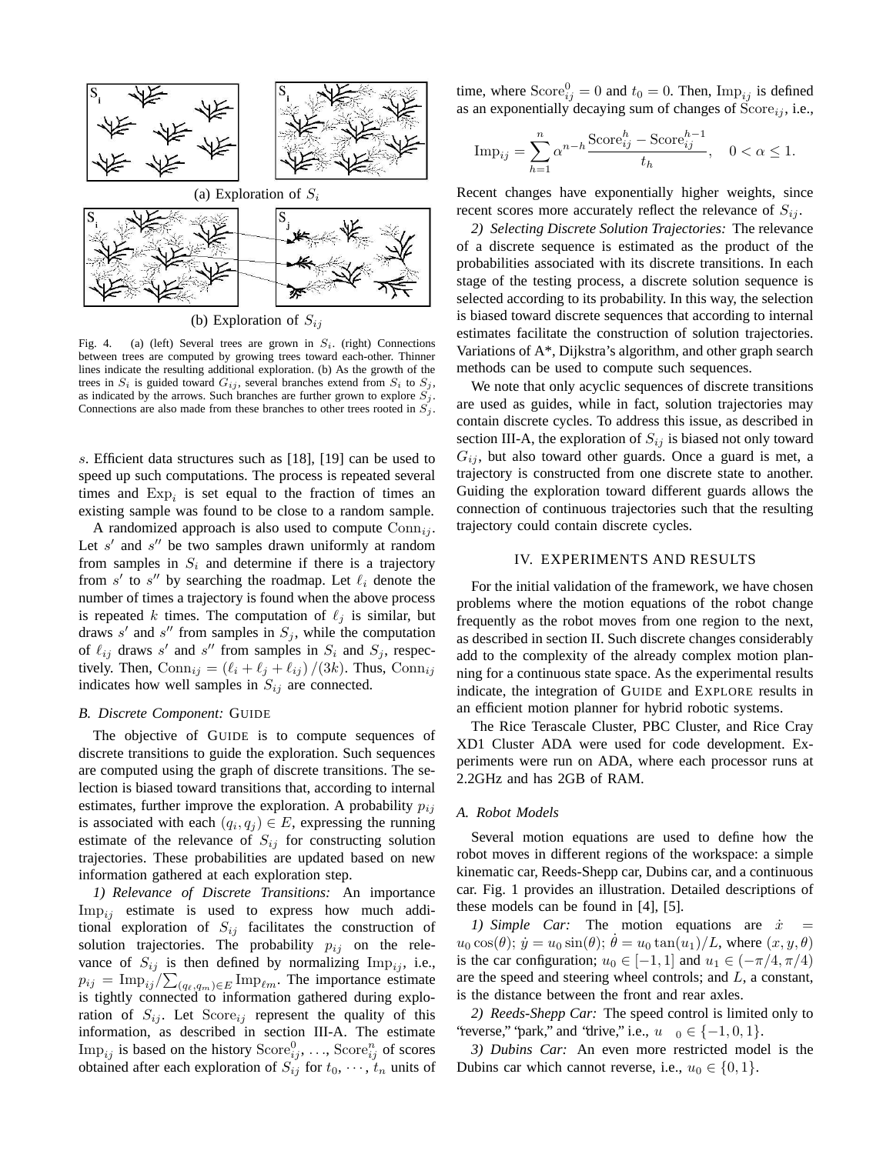

(b) Exploration of  $S_{ij}$ 

Fig. 4. (a) (left) Several trees are grown in  $S_i$ . (right) Connections between trees are computed by growing trees toward each-other. Thinner lines indicate the resulting additional exploration. (b) As the growth of the trees in  $S_i$  is guided toward  $G_{ij}$ , several branches extend from  $S_i$  to  $S_j$ , as indicated by the arrows. Such branches are further grown to explore  $S_i$ . Connections are also made from these branches to other trees rooted in  $S_i$ .

s. Efficient data structures such as [18], [19] can be used to speed up such computations. The process is repeated several times and  $Exp_i$  is set equal to the fraction of times an existing sample was found to be close to a random sample.

A randomized approach is also used to compute  $Conn_{ij}$ . Let  $s'$  and  $s''$  be two samples drawn uniformly at random from samples in  $S_i$  and determine if there is a trajectory from  $s'$  to  $s''$  by searching the roadmap. Let  $\ell_i$  denote the number of times a trajectory is found when the above process is repeated k times. The computation of  $\ell_j$  is similar, but draws s' and s'' from samples in  $S_j$ , while the computation of  $\ell_{ij}$  draws s' and s'' from samples in  $S_i$  and  $S_j$ , respectively. Then,  $Conn_{ij} = (\ell_i + \ell_j + \ell_{ij} ) / (3k)$ . Thus,  $Conn_{ij}$ indicates how well samples in  $S_{ij}$  are connected.

## *B. Discrete Component:* GUIDE

The objective of GUIDE is to compute sequences of discrete transitions to guide the exploration. Such sequences are computed using the graph of discrete transitions. The selection is biased toward transitions that, according to internal estimates, further improve the exploration. A probability  $p_{ij}$ is associated with each  $(q_i, q_j) \in E$ , expressing the running estimate of the relevance of  $S_{ij}$  for constructing solution trajectories. These probabilities are updated based on new information gathered at each exploration step.

*1) Relevance of Discrete Transitions:* An importance  $\text{Imp}_{ij}$  estimate is used to express how much additional exploration of  $S_{ij}$  facilitates the construction of solution trajectories. The probability  $p_{ij}$  on the relevance of  $S_{ij}$  is then defined by normalizing  $\text{Imp}_{ij}$ , i.e.,  $p_{ij} = \text{Imp}_{ij}/\sum_{(q_\ell,q_m)\in E} \text{Imp}_{\ell m}$ . The importance estimate is tightly connected to information gathered during exploration of  $S_{ij}$ . Let Score<sub>ij</sub> represent the quality of this information, as described in section III-A. The estimate Im $p_{ij}$  is based on the history  $Score_{ij}^0$ , ...,  $Score_{ij}^n$  of scores obtained after each exploration of  $S_{ij}$  for  $t_0, \dots, t_n$  units of

time, where  $Score_{ij}^0 = 0$  and  $t_0 = 0$ . Then,  $Imp_{ij}$  is defined as an exponentially decaying sum of changes of  $Score_{ij}$ , i.e.,

$$
\text{Imp}_{ij} = \sum_{h=1}^{n} \alpha^{n-h} \frac{\text{Score}_{ij}^h - \text{Score}_{ij}^{h-1}}{t_h}, \quad 0 < \alpha \le 1.
$$

Recent changes have exponentially higher weights, since recent scores more accurately reflect the relevance of  $S_{ij}$ .

*2) Selecting Discrete Solution Trajectories:* The relevance of a discrete sequence is estimated as the product of the probabilities associated with its discrete transitions. In each stage of the testing process, a discrete solution sequence is selected according to its probability. In this way, the selection is biased toward discrete sequences that according to internal estimates facilitate the construction of solution trajectories. Variations of A\*, Dijkstra's algorithm, and other graph search methods can be used to compute such sequences.

We note that only acyclic sequences of discrete transitions are used as guides, while in fact, solution trajectories may contain discrete cycles. To address this issue, as described in section III-A, the exploration of  $S_{ij}$  is biased not only toward  $G_{ij}$ , but also toward other guards. Once a guard is met, a trajectory is constructed from one discrete state to another. Guiding the exploration toward different guards allows the connection of continuous trajectories such that the resulting trajectory could contain discrete cycles.

# IV. EXPERIMENTS AND RESULTS

For the initial validation of the framework, we have chosen problems where the motion equations of the robot change frequently as the robot moves from one region to the next, as described in section II. Such discrete changes considerably add to the complexity of the already complex motion planning for a continuous state space. As the experimental results indicate, the integration of GUIDE and EXPLORE results in an efficient motion planner for hybrid robotic systems.

The Rice Terascale Cluster, PBC Cluster, and Rice Cray XD1 Cluster ADA were used for code development. Experiments were run on ADA, where each processor runs at 2.2GHz and has 2GB of RAM.

## *A. Robot Models*

Several motion equations are used to define how the robot moves in different regions of the workspace: a simple kinematic car, Reeds-Shepp car, Dubins car, and a continuous car. Fig. 1 provides an illustration. Detailed descriptions of these models can be found in [4], [5].

*1) Simple Car*: The motion equations are  $\dot{x} =$  $u_0 \cos(\theta)$ ;  $\dot{y} = u_0 \sin(\theta)$ ;  $\theta = u_0 \tan(u_1)/L$ , where  $(x, y, \theta)$ is the car configuration;  $u_0 \in [-1, 1]$  and  $u_1 \in (-\pi/4, \pi/4)$ are the speed and steering wheel controls; and L, a constant, is the distance between the front and rear axles.

*2) Reeds-Shepp Car:* The speed control is limited only to "reverse," "park," and "drive," i.e.,  $u \quad 0 \in \{-1, 0, 1\}.$ 

*3) Dubins Car:* An even more restricted model is the Dubins car which cannot reverse, i.e.,  $u_0 \in \{0, 1\}$ .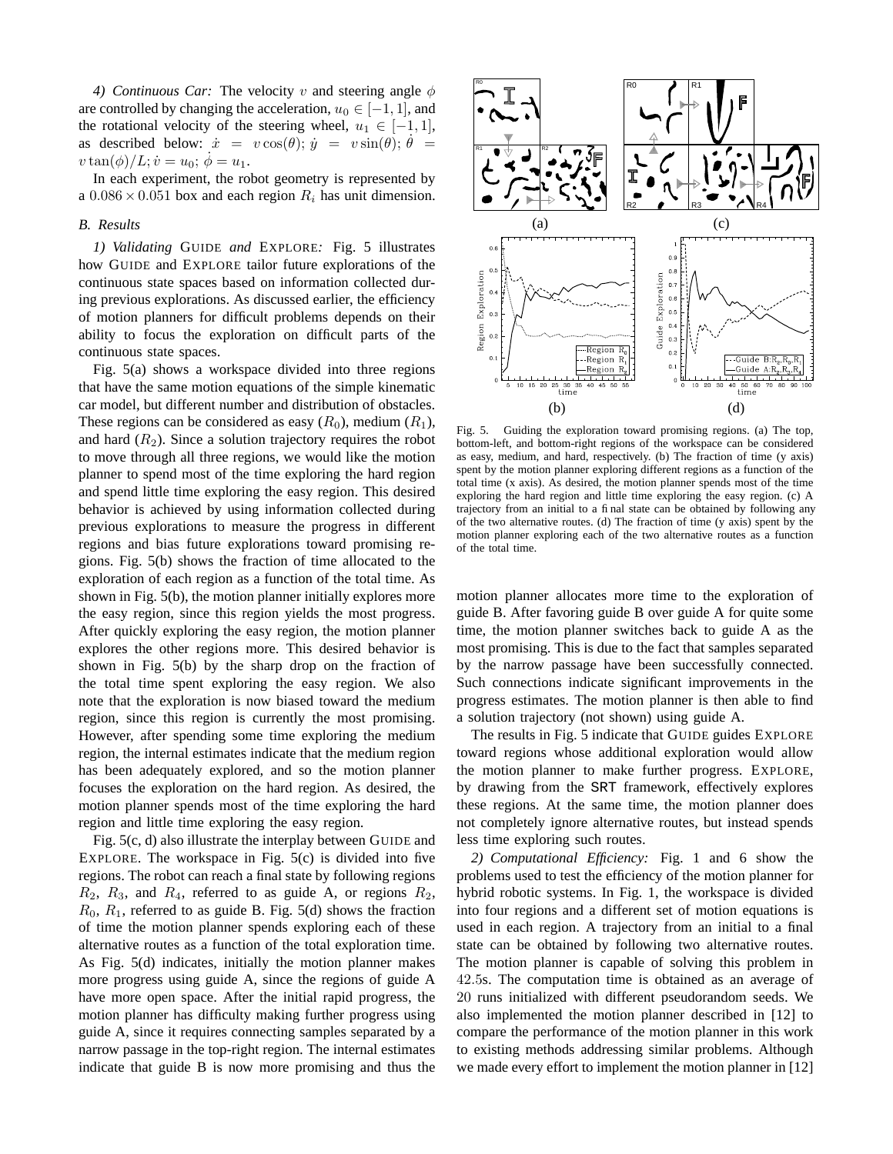*4) Continuous Car:* The velocity v and steering angle  $\phi$ are controlled by changing the acceleration,  $u_0 \in [-1, 1]$ , and the rotational velocity of the steering wheel,  $u_1 \in [-1, 1]$ , as described below:  $\dot{x} = v \cos(\theta); \dot{y} = v \sin(\theta); \dot{\theta} =$  $v \tan(\phi)/L; \dot{v} = u_0; \ \phi = u_1.$ 

In each experiment, the robot geometry is represented by a  $0.086 \times 0.051$  box and each region  $R_i$  has unit dimension.

## *B. Results*

*1) Validating* GUIDE *and* EXPLORE*:* Fig. 5 illustrates how GUIDE and EXPLORE tailor future explorations of the continuous state spaces based on information collected during previous explorations. As discussed earlier, the efficiency of motion planners for difficult problems depends on their ability to focus the exploration on difficult parts of the continuous state spaces.

Fig. 5(a) shows a workspace divided into three regions that have the same motion equations of the simple kinematic car model, but different number and distribution of obstacles. These regions can be considered as easy  $(R_0)$ , medium  $(R_1)$ , and hard  $(R_2)$ . Since a solution trajectory requires the robot to move through all three regions, we would like the motion planner to spend most of the time exploring the hard region and spend little time exploring the easy region. This desired behavior is achieved by using information collected during previous explorations to measure the progress in different regions and bias future explorations toward promising regions. Fig. 5(b) shows the fraction of time allocated to the exploration of each region as a function of the total time. As shown in Fig. 5(b), the motion planner initially explores more the easy region, since this region yields the most progress. After quickly exploring the easy region, the motion planner explores the other regions more. This desired behavior is shown in Fig. 5(b) by the sharp drop on the fraction of the total time spent exploring the easy region. We also note that the exploration is now biased toward the medium region, since this region is currently the most promising. However, after spending some time exploring the medium region, the internal estimates indicate that the medium region has been adequately explored, and so the motion planner focuses the exploration on the hard region. As desired, the motion planner spends most of the time exploring the hard region and little time exploring the easy region.

Fig. 5(c, d) also illustrate the interplay between GUIDE and EXPLORE. The workspace in Fig. 5(c) is divided into five regions. The robot can reach a final state by following regions  $R_2$ ,  $R_3$ , and  $R_4$ , referred to as guide A, or regions  $R_2$ ,  $R_0$ ,  $R_1$ , referred to as guide B. Fig. 5(d) shows the fraction of time the motion planner spends exploring each of these alternative routes as a function of the total exploration time. As Fig. 5(d) indicates, initially the motion planner makes more progress using guide A, since the regions of guide A have more open space. After the initial rapid progress, the motion planner has difficulty making further progress using guide A, since it requires connecting samples separated by a narrow passage in the top-right region. The internal estimates indicate that guide B is now more promising and thus the



Fig. 5. Guiding the exploration toward promising regions. (a) The top, bottom-left, and bottom-right regions of the workspace can be considered as easy, medium, and hard, respectively. (b) The fraction of time (y axis) spent by the motion planner exploring different regions as a function of the total time (x axis). As desired, the motion planner spends most of the time exploring the hard region and little time exploring the easy region. (c) A trajectory from an initial to a final state can be obtained by following any of the two alternative routes. (d) The fraction of time (y axis) spent by the motion planner exploring each of the two alternative routes as a function of the total time.

motion planner allocates more time to the exploration of guide B. After favoring guide B over guide A for quite some time, the motion planner switches back to guide A as the most promising. This is due to the fact that samples separated by the narrow passage have been successfully connected. Such connections indicate significant improvements in the progress estimates. The motion planner is then able to find a solution trajectory (not shown) using guide A.

The results in Fig. 5 indicate that GUIDE guides EXPLORE toward regions whose additional exploration would allow the motion planner to make further progress. EXPLORE, by drawing from the SRT framework, effectively explores these regions. At the same time, the motion planner does not completely ignore alternative routes, but instead spends less time exploring such routes.

*2) Computational Efficiency:* Fig. 1 and 6 show the problems used to test the efficiency of the motion planner for hybrid robotic systems. In Fig. 1, the workspace is divided into four regions and a different set of motion equations is used in each region. A trajectory from an initial to a final state can be obtained by following two alternative routes. The motion planner is capable of solving this problem in 42.5s. The computation time is obtained as an average of 20 runs initialized with different pseudorandom seeds. We also implemented the motion planner described in [12] to compare the performance of the motion planner in this work to existing methods addressing similar problems. Although we made every effort to implement the motion planner in [12]